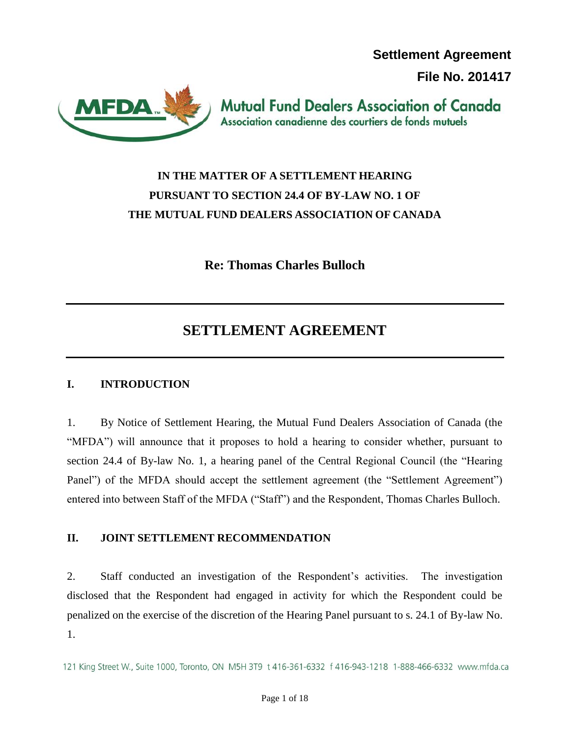**Settlement Agreement** 

**File No. 201417**



**Mutual Fund Dealers Association of Canada** Association canadienne des courtiers de fonds mutuels

# **IN THE MATTER OF A SETTLEMENT HEARING PURSUANT TO SECTION 24.4 OF BY-LAW NO. 1 OF THE MUTUAL FUND DEALERS ASSOCIATION OF CANADA**

**Re: Thomas Charles Bulloch** 

# **SETTLEMENT AGREEMENT**

# **I. INTRODUCTION**

1. By Notice of Settlement Hearing, the Mutual Fund Dealers Association of Canada (the "MFDA") will announce that it proposes to hold a hearing to consider whether, pursuant to section 24.4 of By-law No. 1, a hearing panel of the Central Regional Council (the "Hearing Panel") of the MFDA should accept the settlement agreement (the "Settlement Agreement") entered into between Staff of the MFDA ("Staff") and the Respondent, Thomas Charles Bulloch.

## **II. JOINT SETTLEMENT RECOMMENDATION**

2. Staff conducted an investigation of the Respondent's activities. The investigation disclosed that the Respondent had engaged in activity for which the Respondent could be penalized on the exercise of the discretion of the Hearing Panel pursuant to s. 24.1 of By-law No. 1.

121 King Street W., Suite 1000, Toronto, ON M5H 3T9 t 416-361-6332 f 416-943-1218 1-888-466-6332 www.mfda.ca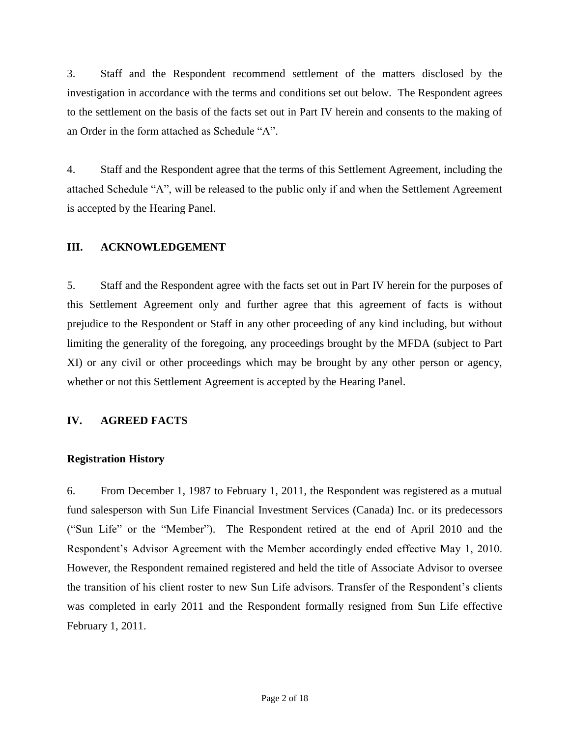3. Staff and the Respondent recommend settlement of the matters disclosed by the investigation in accordance with the terms and conditions set out below. The Respondent agrees to the settlement on the basis of the facts set out in Part IV herein and consents to the making of an Order in the form attached as Schedule "A".

4. Staff and the Respondent agree that the terms of this Settlement Agreement, including the attached Schedule "A", will be released to the public only if and when the Settlement Agreement is accepted by the Hearing Panel.

### **III. ACKNOWLEDGEMENT**

5. Staff and the Respondent agree with the facts set out in Part IV herein for the purposes of this Settlement Agreement only and further agree that this agreement of facts is without prejudice to the Respondent or Staff in any other proceeding of any kind including, but without limiting the generality of the foregoing, any proceedings brought by the MFDA (subject to Part XI) or any civil or other proceedings which may be brought by any other person or agency, whether or not this Settlement Agreement is accepted by the Hearing Panel.

## **IV. AGREED FACTS**

#### **Registration History**

6. From December 1, 1987 to February 1, 2011, the Respondent was registered as a mutual fund salesperson with Sun Life Financial Investment Services (Canada) Inc. or its predecessors ("Sun Life" or the "Member"). The Respondent retired at the end of April 2010 and the Respondent's Advisor Agreement with the Member accordingly ended effective May 1, 2010. However, the Respondent remained registered and held the title of Associate Advisor to oversee the transition of his client roster to new Sun Life advisors. Transfer of the Respondent's clients was completed in early 2011 and the Respondent formally resigned from Sun Life effective February 1, 2011.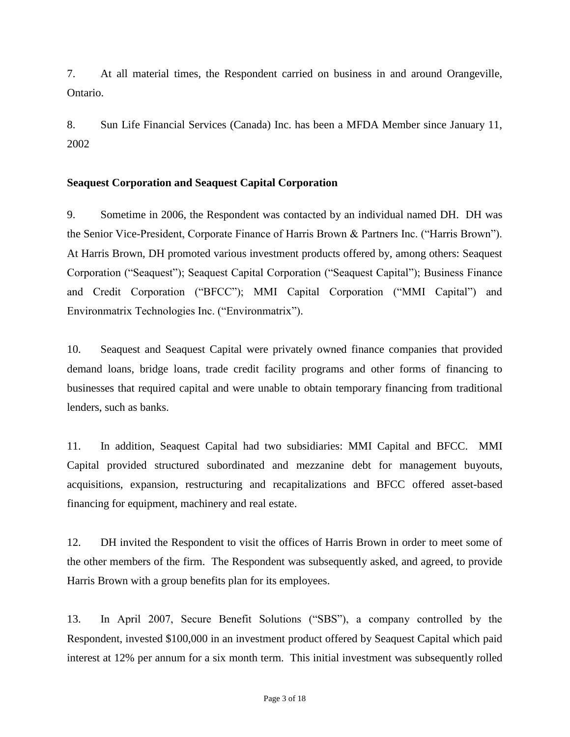7. At all material times, the Respondent carried on business in and around Orangeville, Ontario.

8. Sun Life Financial Services (Canada) Inc. has been a MFDA Member since January 11, 2002

#### **Seaquest Corporation and Seaquest Capital Corporation**

9. Sometime in 2006, the Respondent was contacted by an individual named DH. DH was the Senior Vice-President, Corporate Finance of Harris Brown & Partners Inc. ("Harris Brown"). At Harris Brown, DH promoted various investment products offered by, among others: Seaquest Corporation ("Seaquest"); Seaquest Capital Corporation ("Seaquest Capital"); Business Finance and Credit Corporation ("BFCC"); MMI Capital Corporation ("MMI Capital") and Environmatrix Technologies Inc. ("Environmatrix").

10. Seaquest and Seaquest Capital were privately owned finance companies that provided demand loans, bridge loans, trade credit facility programs and other forms of financing to businesses that required capital and were unable to obtain temporary financing from traditional lenders, such as banks.

11. In addition, Seaquest Capital had two subsidiaries: MMI Capital and BFCC. MMI Capital provided structured subordinated and mezzanine debt for management buyouts, acquisitions, expansion, restructuring and recapitalizations and BFCC offered asset-based financing for equipment, machinery and real estate.

12. DH invited the Respondent to visit the offices of Harris Brown in order to meet some of the other members of the firm. The Respondent was subsequently asked, and agreed, to provide Harris Brown with a group benefits plan for its employees.

13. In April 2007, Secure Benefit Solutions ("SBS"), a company controlled by the Respondent, invested \$100,000 in an investment product offered by Seaquest Capital which paid interest at 12% per annum for a six month term. This initial investment was subsequently rolled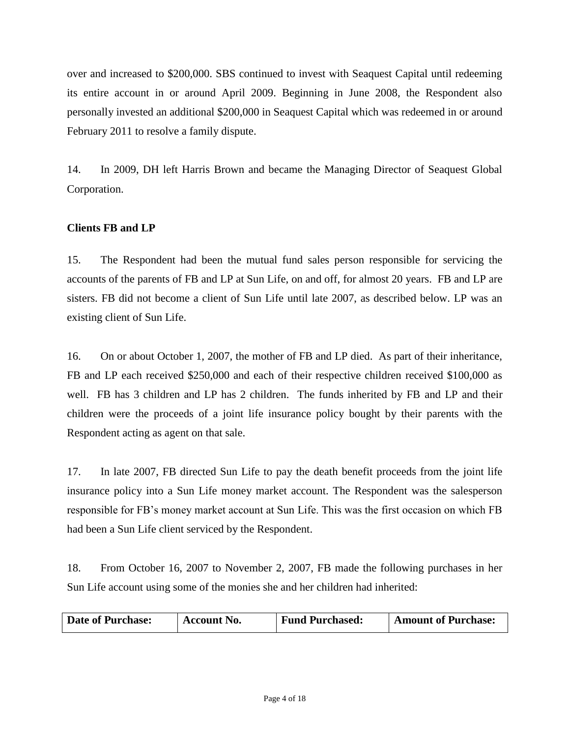over and increased to \$200,000. SBS continued to invest with Seaquest Capital until redeeming its entire account in or around April 2009. Beginning in June 2008, the Respondent also personally invested an additional \$200,000 in Seaquest Capital which was redeemed in or around February 2011 to resolve a family dispute.

14. In 2009, DH left Harris Brown and became the Managing Director of Seaquest Global Corporation.

## **Clients FB and LP**

15. The Respondent had been the mutual fund sales person responsible for servicing the accounts of the parents of FB and LP at Sun Life, on and off, for almost 20 years. FB and LP are sisters. FB did not become a client of Sun Life until late 2007, as described below. LP was an existing client of Sun Life.

16. On or about October 1, 2007, the mother of FB and LP died. As part of their inheritance, FB and LP each received \$250,000 and each of their respective children received \$100,000 as well. FB has 3 children and LP has 2 children. The funds inherited by FB and LP and their children were the proceeds of a joint life insurance policy bought by their parents with the Respondent acting as agent on that sale.

17. In late 2007, FB directed Sun Life to pay the death benefit proceeds from the joint life insurance policy into a Sun Life money market account. The Respondent was the salesperson responsible for FB's money market account at Sun Life. This was the first occasion on which FB had been a Sun Life client serviced by the Respondent.

18. From October 16, 2007 to November 2, 2007, FB made the following purchases in her Sun Life account using some of the monies she and her children had inherited:

| <b>Date of Purchase:</b> | Account No. | <b>Fund Purchased:</b> | <b>Amount of Purchase:</b> |
|--------------------------|-------------|------------------------|----------------------------|
|--------------------------|-------------|------------------------|----------------------------|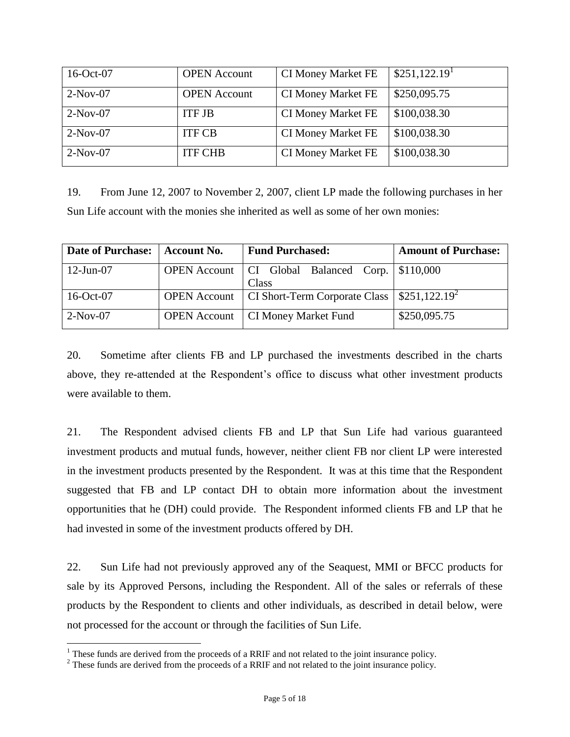| 16-Oct-07  | <b>OPEN</b> Account | <b>CI Money Market FE</b> | \$251,122.19 <sup>1</sup> |
|------------|---------------------|---------------------------|---------------------------|
| $2-Nov-07$ | <b>OPEN</b> Account | <b>CI Money Market FE</b> | \$250,095.75              |
| $2-Nov-07$ | <b>ITF JB</b>       | <b>CI Money Market FE</b> | \$100,038.30              |
| $2-Nov-07$ | <b>ITF CB</b>       | <b>CI Money Market FE</b> | \$100,038.30              |
| $2-Nov-07$ | <b>ITF CHB</b>      | <b>CI Money Market FE</b> | \$100,038.30              |

19. From June 12, 2007 to November 2, 2007, client LP made the following purchases in her Sun Life account with the monies she inherited as well as some of her own monies:

| <b>Date of Purchase:</b> | <b>Account No.</b> | <b>Fund Purchased:</b>                                         | <b>Amount of Purchase:</b> |
|--------------------------|--------------------|----------------------------------------------------------------|----------------------------|
| $12$ -Jun-07             |                    | OPEN Account   CI Global Balanced Corp.   \$110,000<br>Class   |                            |
| 16-Oct-07                |                    | OPEN Account   CI Short-Term Corporate Class   $$251,122.19^2$ |                            |
| $2-Nov-07$               |                    | <b>OPEN Account</b>   CI Money Market Fund                     | \$250,095.75               |

20. Sometime after clients FB and LP purchased the investments described in the charts above, they re-attended at the Respondent's office to discuss what other investment products were available to them.

21. The Respondent advised clients FB and LP that Sun Life had various guaranteed investment products and mutual funds, however, neither client FB nor client LP were interested in the investment products presented by the Respondent. It was at this time that the Respondent suggested that FB and LP contact DH to obtain more information about the investment opportunities that he (DH) could provide. The Respondent informed clients FB and LP that he had invested in some of the investment products offered by DH.

22. Sun Life had not previously approved any of the Seaquest, MMI or BFCC products for sale by its Approved Persons, including the Respondent. All of the sales or referrals of these products by the Respondent to clients and other individuals, as described in detail below, were not processed for the account or through the facilities of Sun Life.

 $\overline{a}$ 

 $<sup>1</sup>$  These funds are derived from the proceeds of a RRIF and not related to the joint insurance policy.</sup>

 $2^2$  These funds are derived from the proceeds of a RRIF and not related to the joint insurance policy.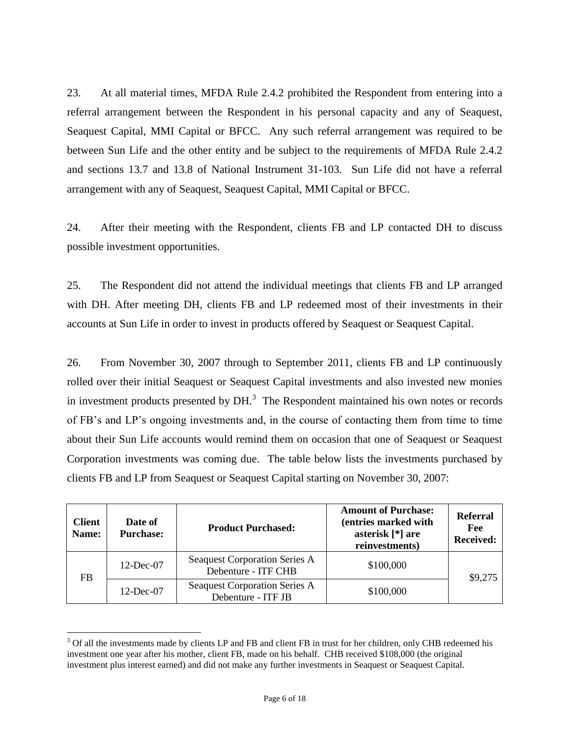23. At all material times, MFDA Rule 2.4.2 prohibited the Respondent from entering into a referral arrangement between the Respondent in his personal capacity and any of Seaquest, Seaquest Capital, MMI Capital or BFCC. Any such referral arrangement was required to be between Sun Life and the other entity and be subject to the requirements of MFDA Rule 2.4.2 and sections 13.7 and 13.8 of National Instrument 31-103. Sun Life did not have a referral arrangement with any of Seaquest, Seaquest Capital, MMI Capital or BFCC.

24. After their meeting with the Respondent, clients FB and LP contacted DH to discuss possible investment opportunities.

25. The Respondent did not attend the individual meetings that clients FB and LP arranged with DH. After meeting DH, clients FB and LP redeemed most of their investments in their accounts at Sun Life in order to invest in products offered by Seaquest or Seaquest Capital.

26. From November 30, 2007 through to September 2011, clients FB and LP continuously rolled over their initial Seaquest or Seaquest Capital investments and also invested new monies in investment products presented by  $DH<sup>3</sup>$ . The Respondent maintained his own notes or records of FB's and LP's ongoing investments and, in the course of contacting them from time to time about their Sun Life accounts would remind them on occasion that one of Seaquest or Seaquest Corporation investments was coming due. The table below lists the investments purchased by clients FB and LP from Seaquest or Seaquest Capital starting on November 30, 2007:

| <b>Client</b><br>Name: | Date of<br><b>Purchase:</b> | <b>Product Purchased:</b>                                   | <b>Amount of Purchase:</b><br>(entries marked with<br>asterisk [*] are<br>reinvestments) | <b>Referral</b><br>Fee<br><b>Received:</b> |
|------------------------|-----------------------------|-------------------------------------------------------------|------------------------------------------------------------------------------------------|--------------------------------------------|
| <b>FB</b>              | $12$ -Dec-07                | <b>Seaquest Corporation Series A</b><br>Debenture - ITF CHB | \$100,000                                                                                | \$9,275                                    |
|                        | $12$ -Dec-07                | <b>Seaquest Corporation Series A</b><br>Debenture - ITF JB  | \$100,000                                                                                |                                            |

 $3$  Of all the investments made by clients LP and FB and client FB in trust for her children, only CHB redeemed his investment one year after his mother, client FB, made on his behalf. CHB received \$108,000 (the original investment plus interest earned) and did not make any further investments in Seaquest or Seaquest Capital.

 $\overline{a}$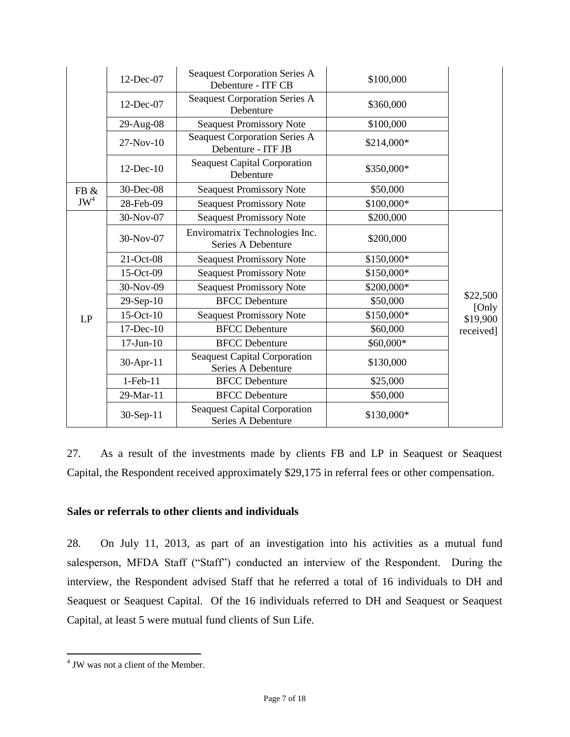|        | 12-Dec-07       | <b>Seaquest Corporation Series A</b><br>Debenture - ITF CB | \$100,000  |                   |
|--------|-----------------|------------------------------------------------------------|------------|-------------------|
|        | 12-Dec-07       | <b>Seaquest Corporation Series A</b><br>Debenture          | \$360,000  |                   |
|        | 29-Aug-08       | <b>Seaquest Promissory Note</b>                            | \$100,000  |                   |
|        | $27-Nov-10$     | <b>Seaquest Corporation Series A</b><br>Debenture - ITF JB | \$214,000* |                   |
|        | 12-Dec-10       | <b>Seaquest Capital Corporation</b><br>Debenture           | \$350,000* |                   |
| FB &   | 30-Dec-08       | <b>Seaquest Promissory Note</b>                            | \$50,000   |                   |
| $JW^4$ | 28-Feb-09       | <b>Seaquest Promissory Note</b>                            | \$100,000* |                   |
|        | 30-Nov-07       | <b>Seaquest Promissory Note</b>                            | \$200,000  |                   |
|        | 30-Nov-07       | Enviromatrix Technologies Inc.<br>Series A Debenture       | \$200,000  |                   |
|        | 21-Oct-08       | <b>Seaquest Promissory Note</b>                            | \$150,000* |                   |
|        | 15-Oct-09       | <b>Seaquest Promissory Note</b>                            | \$150,000* |                   |
|        | 30-Nov-09       | <b>Seaquest Promissory Note</b>                            | \$200,000* |                   |
|        | $29-Sep-10$     | <b>BFCC Debenture</b>                                      | \$50,000   | \$22,500<br>[Only |
| LP     | 15-Oct-10       | <b>Seaquest Promissory Note</b>                            | \$150,000* | \$19,900          |
|        | 17-Dec-10       | <b>BFCC</b> Debenture                                      | \$60,000   | received]         |
|        | $17$ -Jun- $10$ | <b>BFCC</b> Debenture                                      | \$60,000*  |                   |
|        | 30-Apr-11       | <b>Seaquest Capital Corporation</b><br>Series A Debenture  | \$130,000  |                   |
|        | $1-Feb-11$      | <b>BFCC</b> Debenture                                      | \$25,000   |                   |
|        | 29-Mar-11       | <b>BFCC</b> Debenture                                      | \$50,000   |                   |
|        | 30-Sep-11       | <b>Seaquest Capital Corporation</b><br>Series A Debenture  | \$130,000* |                   |

27. As a result of the investments made by clients FB and LP in Seaquest or Seaquest Capital, the Respondent received approximately \$29,175 in referral fees or other compensation.

#### **Sales or referrals to other clients and individuals**

28. On July 11, 2013, as part of an investigation into his activities as a mutual fund salesperson, MFDA Staff ("Staff") conducted an interview of the Respondent. During the interview, the Respondent advised Staff that he referred a total of 16 individuals to DH and Seaquest or Seaquest Capital. Of the 16 individuals referred to DH and Seaquest or Seaquest Capital, at least 5 were mutual fund clients of Sun Life.

 $\overline{a}$ 

<sup>4</sup> JW was not a client of the Member.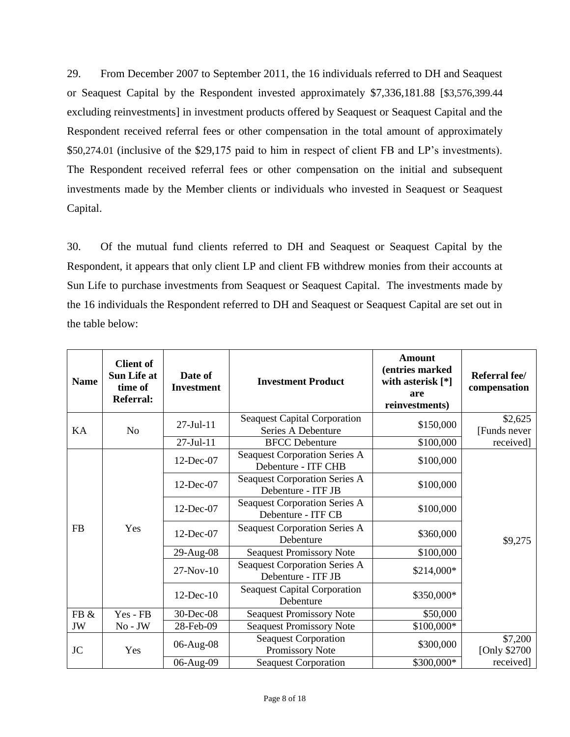29. From December 2007 to September 2011, the 16 individuals referred to DH and Seaquest or Seaquest Capital by the Respondent invested approximately \$7,336,181.88 [\$3,576,399.44 excluding reinvestments] in investment products offered by Seaquest or Seaquest Capital and the Respondent received referral fees or other compensation in the total amount of approximately \$50,274.01 (inclusive of the \$29,175 paid to him in respect of client FB and LP's investments). The Respondent received referral fees or other compensation on the initial and subsequent investments made by the Member clients or individuals who invested in Seaquest or Seaquest Capital.

30. Of the mutual fund clients referred to DH and Seaquest or Seaquest Capital by the Respondent, it appears that only client LP and client FB withdrew monies from their accounts at Sun Life to purchase investments from Seaquest or Seaquest Capital. The investments made by the 16 individuals the Respondent referred to DH and Seaquest or Seaquest Capital are set out in the table below:

| <b>Name</b>      | <b>Client of</b><br><b>Sun Life at</b><br>time of<br><b>Referral:</b> | Date of<br><b>Investment</b> | <b>Investment Product</b>                                   | <b>Amount</b><br>(entries marked<br>with asterisk [*]<br>are<br>reinvestments) | Referral fee/<br>compensation |
|------------------|-----------------------------------------------------------------------|------------------------------|-------------------------------------------------------------|--------------------------------------------------------------------------------|-------------------------------|
| KA               | No                                                                    | $27 -$ Jul $-11$             | <b>Seaquest Capital Corporation</b><br>Series A Debenture   | \$150,000                                                                      | \$2,625<br>[Funds never       |
|                  |                                                                       | 27-Jul-11                    | <b>BFCC</b> Debenture                                       | \$100,000                                                                      | received]                     |
| <b>FB</b><br>Yes |                                                                       | 12-Dec-07                    | <b>Seaquest Corporation Series A</b><br>Debenture - ITF CHB | \$100,000                                                                      |                               |
|                  |                                                                       | 12-Dec-07                    | <b>Seaquest Corporation Series A</b><br>Debenture - ITF JB  | \$100,000                                                                      |                               |
|                  |                                                                       | 12-Dec-07                    | <b>Seaquest Corporation Series A</b><br>Debenture - ITF CB  | \$100,000                                                                      |                               |
|                  |                                                                       | 12-Dec-07                    | <b>Seaquest Corporation Series A</b><br>Debenture           | \$360,000                                                                      | \$9,275                       |
|                  |                                                                       | 29-Aug-08                    | <b>Seaquest Promissory Note</b>                             | \$100,000                                                                      |                               |
|                  |                                                                       | $27-Nov-10$                  | <b>Seaquest Corporation Series A</b><br>Debenture - ITF JB  | \$214,000*                                                                     |                               |
|                  |                                                                       | $12$ -Dec- $10$              | <b>Seaquest Capital Corporation</b><br>Debenture            | \$350,000*                                                                     |                               |
| FB &             | Yes - FB                                                              | 30-Dec-08                    | <b>Seaquest Promissory Note</b>                             | \$50,000                                                                       |                               |
| JW               | $No$ - $JW$                                                           | 28-Feb-09                    | <b>Seaquest Promissory Note</b>                             | \$100,000*                                                                     |                               |
| <b>JC</b>        | Yes                                                                   | 06-Aug-08                    | <b>Seaquest Corporation</b><br>Promissory Note              | \$300,000                                                                      | \$7,200<br>[Only \$2700]      |
|                  |                                                                       | 06-Aug-09                    | <b>Seaquest Corporation</b>                                 | \$300,000*                                                                     | received]                     |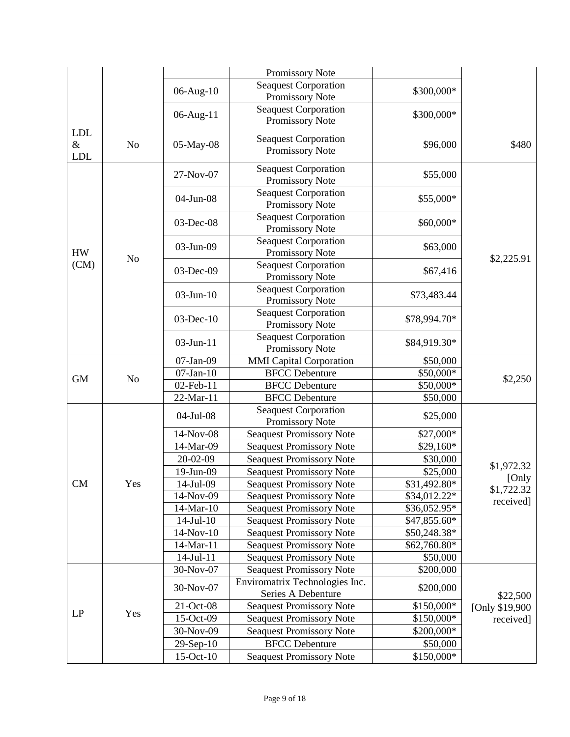|                                  |                |                       | Promissory Note                                      |                           |                     |
|----------------------------------|----------------|-----------------------|------------------------------------------------------|---------------------------|---------------------|
|                                  |                | 06-Aug-10             | <b>Seaquest Corporation</b><br>Promissory Note       | \$300,000*                |                     |
|                                  |                | 06-Aug-11             | <b>Seaquest Corporation</b><br>Promissory Note       | \$300,000*                |                     |
| <b>LDL</b><br>$\&$<br><b>LDL</b> | N <sub>o</sub> | 05-May-08             | <b>Seaquest Corporation</b><br>Promissory Note       | \$96,000                  | \$480               |
|                                  |                | 27-Nov-07             | <b>Seaquest Corporation</b><br>Promissory Note       | \$55,000                  |                     |
|                                  |                | 04-Jun-08             | <b>Seaquest Corporation</b><br>Promissory Note       | \$55,000*                 |                     |
|                                  |                | 03-Dec-08             | <b>Seaquest Corporation</b><br>Promissory Note       | \$60,000*                 |                     |
| <b>HW</b>                        | N <sub>o</sub> | 03-Jun-09             | <b>Seaquest Corporation</b><br>Promissory Note       | \$63,000                  | \$2,225.91          |
| (CM)                             |                | 03-Dec-09             | Seaquest Corporation<br>Promissory Note              | \$67,416                  |                     |
|                                  |                | $03$ -Jun- $10$       | <b>Seaquest Corporation</b><br>Promissory Note       | \$73,483.44               |                     |
|                                  |                | $03$ -Dec-10          | <b>Seaquest Corporation</b><br>Promissory Note       | \$78,994.70*              |                     |
|                                  |                | 03-Jun-11             | <b>Seaquest Corporation</b><br>Promissory Note       | \$84,919.30*              |                     |
|                                  |                | 07-Jan-09             | <b>MMI</b> Capital Corporation                       | \$50,000                  |                     |
| <b>GM</b>                        | N <sub>o</sub> | $07$ -Jan- $10$       | <b>BFCC Debenture</b>                                | \$50,000*                 | \$2,250             |
|                                  |                | 02-Feb-11             | <b>BFCC</b> Debenture                                | \$50,000*                 |                     |
|                                  | 22-Mar-11      | <b>BFCC</b> Debenture | \$50,000                                             |                           |                     |
|                                  |                | 04-Jul-08             | <b>Seaquest Corporation</b><br>Promissory Note       | \$25,000                  |                     |
|                                  |                | 14-Nov-08             | <b>Seaquest Promissory Note</b>                      | \$27,000*                 |                     |
|                                  |                | 14-Mar-09             | <b>Seaquest Promissory Note</b>                      | $$29,160*$                |                     |
|                                  |                | 20-02-09              | <b>Seaquest Promissory Note</b>                      | \$30,000                  |                     |
|                                  |                | 19-Jun-09             | <b>Seaquest Promissory Note</b>                      | \$25,000                  | \$1,972.32          |
| CM                               | Yes            | 14-Jul-09             | <b>Seaquest Promissory Note</b>                      | $\overline{$31,492.80^*}$ | [Only<br>\$1,722.32 |
|                                  |                | 14-Nov-09             | <b>Seaquest Promissory Note</b>                      | \$34,012.22*              | received]           |
|                                  |                | 14-Mar-10             | <b>Seaquest Promissory Note</b>                      | \$36,052.95*              |                     |
|                                  |                | $14$ -Jul- $10$       | <b>Seaquest Promissory Note</b>                      | \$47,855.60*              |                     |
|                                  |                | 14-Nov-10             | <b>Seaquest Promissory Note</b>                      | \$50,248.38*              |                     |
|                                  |                | 14-Mar-11             | <b>Seaquest Promissory Note</b>                      | \$62,760.80*              |                     |
|                                  |                | $14$ -Jul- $11$       | <b>Seaquest Promissory Note</b>                      | \$50,000                  |                     |
|                                  |                | 30-Nov-07             | <b>Seaquest Promissory Note</b>                      | \$200,000                 |                     |
|                                  |                | 30-Nov-07             | Enviromatrix Technologies Inc.<br>Series A Debenture | \$200,000                 | \$22,500            |
| LP                               | Yes            | 21-Oct-08             | <b>Seaquest Promissory Note</b>                      | \$150,000*                | [Only \$19,900      |
|                                  |                | 15-Oct-09             | <b>Seaquest Promissory Note</b>                      | \$150,000*                | received]           |
|                                  |                | 30-Nov-09             | <b>Seaquest Promissory Note</b>                      | \$200,000*                |                     |
|                                  |                | $29-Sep-10$           | <b>BFCC</b> Debenture                                | \$50,000                  |                     |
|                                  |                | $15-Oct-10$           | <b>Seaquest Promissory Note</b>                      | \$150,000*                |                     |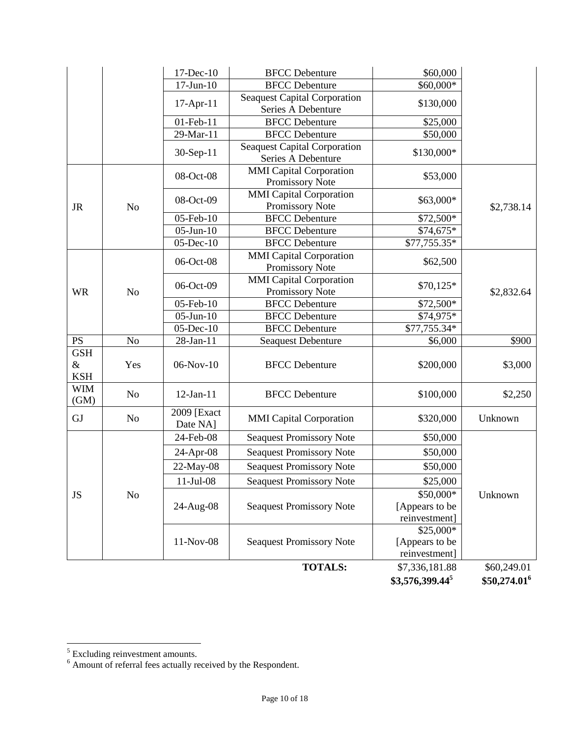|                                  |                | 17-Dec-10               | <b>BFCC</b> Debenture                                     | \$60,000          |                          |
|----------------------------------|----------------|-------------------------|-----------------------------------------------------------|-------------------|--------------------------|
|                                  |                | $17$ -Jun- $10$         | <b>BFCC</b> Debenture                                     | \$60,000*         |                          |
|                                  |                | $17$ -Apr- $11$         | <b>Seaquest Capital Corporation</b><br>Series A Debenture | \$130,000         |                          |
|                                  |                | 01-Feb-11               | <b>BFCC</b> Debenture                                     | \$25,000          |                          |
|                                  |                | 29-Mar-11               | <b>BFCC</b> Debenture                                     | \$50,000          |                          |
|                                  |                | 30-Sep-11               | <b>Seaquest Capital Corporation</b><br>Series A Debenture | \$130,000*        |                          |
|                                  |                | 08-Oct-08               | <b>MMI</b> Capital Corporation<br>Promissory Note         | \$53,000          |                          |
| <b>JR</b>                        | N <sub>o</sub> | 08-Oct-09               | <b>MMI</b> Capital Corporation<br>Promissory Note         | \$63,000*         | \$2,738.14               |
|                                  |                | 05-Feb-10               | <b>BFCC</b> Debenture                                     | \$72,500*         |                          |
|                                  |                | $05$ -Jun- $10$         | <b>BFCC</b> Debenture                                     | \$74,675*         |                          |
|                                  |                | $05$ -Dec- $10$         | <b>BFCC</b> Debenture                                     | \$77,755.35*      |                          |
|                                  |                | 06-Oct-08               | <b>MMI</b> Capital Corporation<br>Promissory Note         | \$62,500          |                          |
| <b>WR</b>                        | N <sub>o</sub> | 06-Oct-09               | <b>MMI</b> Capital Corporation<br>Promissory Note         | \$70,125*         | \$2,832.64               |
|                                  |                | 05-Feb-10               | <b>BFCC</b> Debenture                                     | \$72,500*         |                          |
|                                  |                | $05$ -Jun- $10$         | <b>BFCC</b> Debenture                                     | \$74,975*         |                          |
|                                  |                | 05-Dec-10               | <b>BFCC</b> Debenture                                     | \$77,755.34*      |                          |
| <b>PS</b>                        | N <sub>o</sub> | 28-Jan-11               | <b>Seaquest Debenture</b>                                 | \$6,000           | \$900                    |
| <b>GSH</b><br>$\&$<br><b>KSH</b> | Yes            | 06-Nov-10               | <b>BFCC</b> Debenture                                     | \$200,000         | \$3,000                  |
| <b>WIM</b><br>(GM)               | N <sub>0</sub> | $12-Jan-11$             | <b>BFCC</b> Debenture                                     | \$100,000         | \$2,250                  |
| GJ                               | N <sub>0</sub> | 2009 [Exact<br>Date NA] | <b>MMI</b> Capital Corporation                            | \$320,000         | Unknown                  |
|                                  |                | 24-Feb-08               | <b>Seaquest Promissory Note</b>                           | \$50,000          |                          |
|                                  |                | 24-Apr-08               | <b>Seaquest Promissory Note</b>                           | \$50,000          |                          |
|                                  |                | 22-May-08               | <b>Seaquest Promissory Note</b>                           | \$50,000          |                          |
|                                  |                | $11-Jul-08$             | <b>Seaquest Promissory Note</b>                           | \$25,000          |                          |
| JS<br>No                         |                |                         |                                                           | \$50,000*         | Unknown                  |
|                                  |                | 24-Aug-08               | <b>Seaquest Promissory Note</b>                           | [Appears to be    |                          |
|                                  |                |                         |                                                           | reinvestment]     |                          |
|                                  |                |                         |                                                           | \$25,000*         |                          |
|                                  |                | 11-Nov-08               | <b>Seaquest Promissory Note</b>                           | [Appears to be    |                          |
|                                  |                |                         |                                                           | reinvestment]     |                          |
|                                  |                |                         | <b>TOTALS:</b>                                            | \$7,336,181.88    | \$60,249.01              |
|                                  |                |                         |                                                           | $$3,576,399.44^5$ | \$50,274.01 <sup>6</sup> |

 $\frac{5}{6}$  Excluding reinvestment amounts.<br> $\frac{6}{6}$  Amount of referral fees actually received by the Respondent.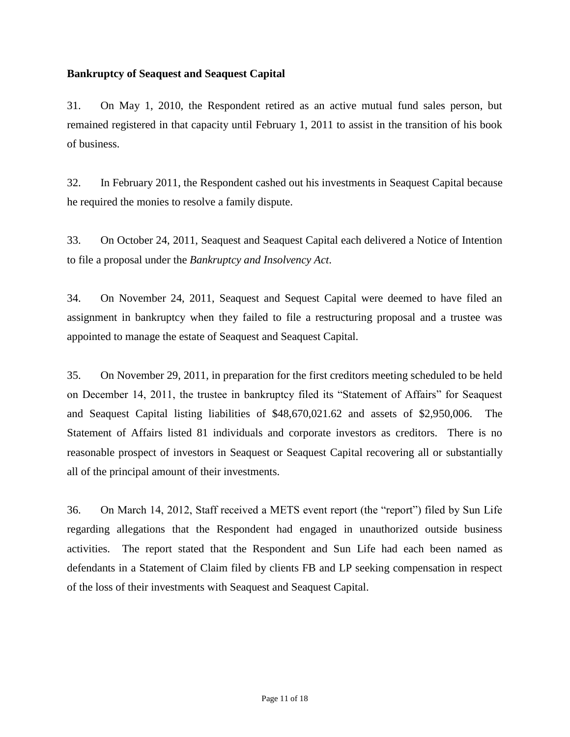#### **Bankruptcy of Seaquest and Seaquest Capital**

31. On May 1, 2010, the Respondent retired as an active mutual fund sales person, but remained registered in that capacity until February 1, 2011 to assist in the transition of his book of business.

32. In February 2011, the Respondent cashed out his investments in Seaquest Capital because he required the monies to resolve a family dispute.

33. On October 24, 2011, Seaquest and Seaquest Capital each delivered a Notice of Intention to file a proposal under the *Bankruptcy and Insolvency Act*.

34. On November 24, 2011, Seaquest and Sequest Capital were deemed to have filed an assignment in bankruptcy when they failed to file a restructuring proposal and a trustee was appointed to manage the estate of Seaquest and Seaquest Capital.

35. On November 29, 2011, in preparation for the first creditors meeting scheduled to be held on December 14, 2011, the trustee in bankruptcy filed its "Statement of Affairs" for Seaquest and Seaquest Capital listing liabilities of \$48,670,021.62 and assets of \$2,950,006. The Statement of Affairs listed 81 individuals and corporate investors as creditors. There is no reasonable prospect of investors in Seaquest or Seaquest Capital recovering all or substantially all of the principal amount of their investments.

36. On March 14, 2012, Staff received a METS event report (the "report") filed by Sun Life regarding allegations that the Respondent had engaged in unauthorized outside business activities. The report stated that the Respondent and Sun Life had each been named as defendants in a Statement of Claim filed by clients FB and LP seeking compensation in respect of the loss of their investments with Seaquest and Seaquest Capital.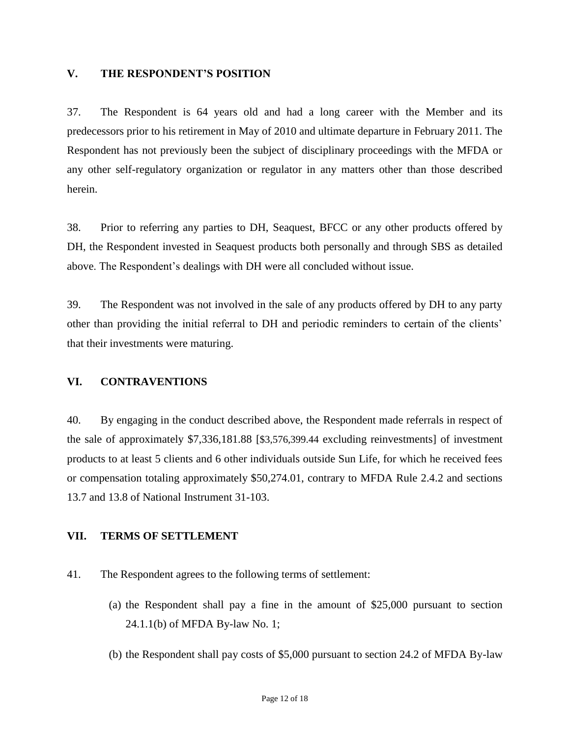#### **V. THE RESPONDENT'S POSITION**

37. The Respondent is 64 years old and had a long career with the Member and its predecessors prior to his retirement in May of 2010 and ultimate departure in February 2011. The Respondent has not previously been the subject of disciplinary proceedings with the MFDA or any other self-regulatory organization or regulator in any matters other than those described herein.

38. Prior to referring any parties to DH, Seaquest, BFCC or any other products offered by DH, the Respondent invested in Seaquest products both personally and through SBS as detailed above. The Respondent's dealings with DH were all concluded without issue.

39. The Respondent was not involved in the sale of any products offered by DH to any party other than providing the initial referral to DH and periodic reminders to certain of the clients' that their investments were maturing.

#### **VI. CONTRAVENTIONS**

40. By engaging in the conduct described above, the Respondent made referrals in respect of the sale of approximately \$7,336,181.88 [\$3,576,399.44 excluding reinvestments] of investment products to at least 5 clients and 6 other individuals outside Sun Life, for which he received fees or compensation totaling approximately \$50,274.01, contrary to MFDA Rule 2.4.2 and sections 13.7 and 13.8 of National Instrument 31-103.

#### **VII. TERMS OF SETTLEMENT**

- 41. The Respondent agrees to the following terms of settlement:
	- (a) the Respondent shall pay a fine in the amount of \$25,000 pursuant to section 24.1.1(b) of MFDA By-law No. 1;
	- (b) the Respondent shall pay costs of \$5,000 pursuant to section 24.2 of MFDA By-law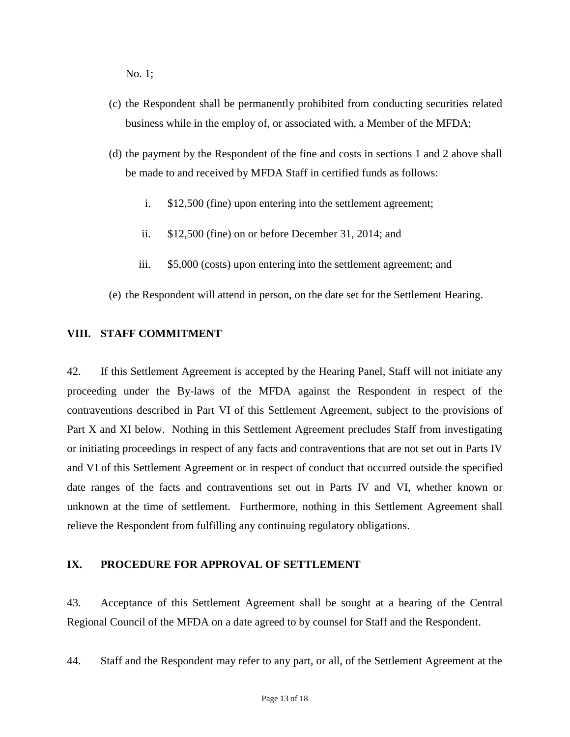No. 1;

- (c) the Respondent shall be permanently prohibited from conducting securities related business while in the employ of, or associated with, a Member of the MFDA;
- (d) the payment by the Respondent of the fine and costs in sections 1 and 2 above shall be made to and received by MFDA Staff in certified funds as follows:
	- i. \$12,500 (fine) upon entering into the settlement agreement;
	- ii. \$12,500 (fine) on or before December 31, 2014; and
	- iii. \$5,000 (costs) upon entering into the settlement agreement; and
- (e) the Respondent will attend in person, on the date set for the Settlement Hearing.

#### **VIII. STAFF COMMITMENT**

42. If this Settlement Agreement is accepted by the Hearing Panel, Staff will not initiate any proceeding under the By-laws of the MFDA against the Respondent in respect of the contraventions described in Part VI of this Settlement Agreement, subject to the provisions of Part X and XI below. Nothing in this Settlement Agreement precludes Staff from investigating or initiating proceedings in respect of any facts and contraventions that are not set out in Parts IV and VI of this Settlement Agreement or in respect of conduct that occurred outside the specified date ranges of the facts and contraventions set out in Parts IV and VI, whether known or unknown at the time of settlement. Furthermore, nothing in this Settlement Agreement shall relieve the Respondent from fulfilling any continuing regulatory obligations.

#### **IX. PROCEDURE FOR APPROVAL OF SETTLEMENT**

43. Acceptance of this Settlement Agreement shall be sought at a hearing of the Central Regional Council of the MFDA on a date agreed to by counsel for Staff and the Respondent.

44. Staff and the Respondent may refer to any part, or all, of the Settlement Agreement at the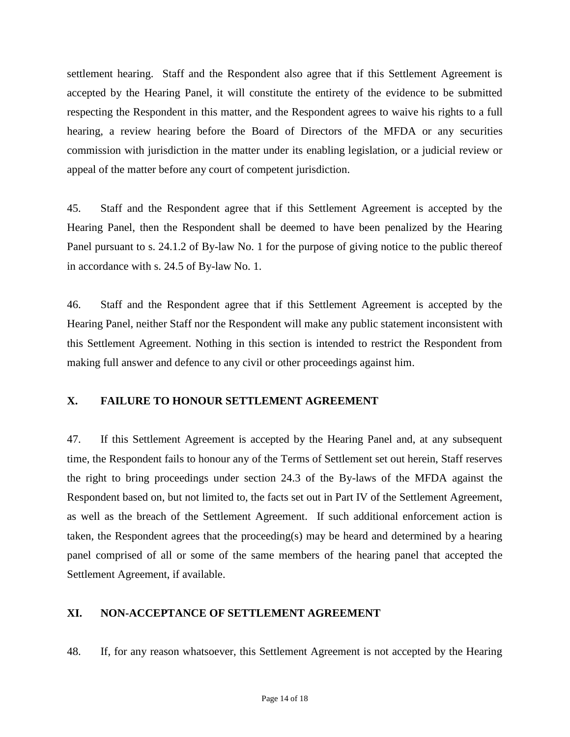settlement hearing. Staff and the Respondent also agree that if this Settlement Agreement is accepted by the Hearing Panel, it will constitute the entirety of the evidence to be submitted respecting the Respondent in this matter, and the Respondent agrees to waive his rights to a full hearing, a review hearing before the Board of Directors of the MFDA or any securities commission with jurisdiction in the matter under its enabling legislation, or a judicial review or appeal of the matter before any court of competent jurisdiction.

45. Staff and the Respondent agree that if this Settlement Agreement is accepted by the Hearing Panel, then the Respondent shall be deemed to have been penalized by the Hearing Panel pursuant to s. 24.1.2 of By-law No. 1 for the purpose of giving notice to the public thereof in accordance with s. 24.5 of By-law No. 1.

46. Staff and the Respondent agree that if this Settlement Agreement is accepted by the Hearing Panel, neither Staff nor the Respondent will make any public statement inconsistent with this Settlement Agreement. Nothing in this section is intended to restrict the Respondent from making full answer and defence to any civil or other proceedings against him.

#### **X. FAILURE TO HONOUR SETTLEMENT AGREEMENT**

47. If this Settlement Agreement is accepted by the Hearing Panel and, at any subsequent time, the Respondent fails to honour any of the Terms of Settlement set out herein, Staff reserves the right to bring proceedings under section 24.3 of the By-laws of the MFDA against the Respondent based on, but not limited to, the facts set out in Part IV of the Settlement Agreement, as well as the breach of the Settlement Agreement. If such additional enforcement action is taken, the Respondent agrees that the proceeding(s) may be heard and determined by a hearing panel comprised of all or some of the same members of the hearing panel that accepted the Settlement Agreement, if available.

#### **XI. NON-ACCEPTANCE OF SETTLEMENT AGREEMENT**

48. If, for any reason whatsoever, this Settlement Agreement is not accepted by the Hearing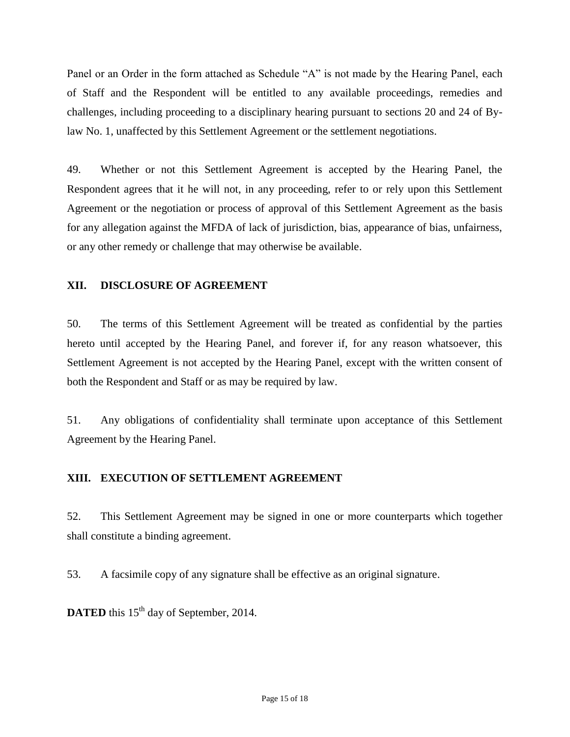Panel or an Order in the form attached as Schedule "A" is not made by the Hearing Panel, each of Staff and the Respondent will be entitled to any available proceedings, remedies and challenges, including proceeding to a disciplinary hearing pursuant to sections 20 and 24 of Bylaw No. 1, unaffected by this Settlement Agreement or the settlement negotiations.

49. Whether or not this Settlement Agreement is accepted by the Hearing Panel, the Respondent agrees that it he will not, in any proceeding, refer to or rely upon this Settlement Agreement or the negotiation or process of approval of this Settlement Agreement as the basis for any allegation against the MFDA of lack of jurisdiction, bias, appearance of bias, unfairness, or any other remedy or challenge that may otherwise be available.

### **XII. DISCLOSURE OF AGREEMENT**

50. The terms of this Settlement Agreement will be treated as confidential by the parties hereto until accepted by the Hearing Panel, and forever if, for any reason whatsoever, this Settlement Agreement is not accepted by the Hearing Panel, except with the written consent of both the Respondent and Staff or as may be required by law.

51. Any obligations of confidentiality shall terminate upon acceptance of this Settlement Agreement by the Hearing Panel.

## **XIII. EXECUTION OF SETTLEMENT AGREEMENT**

52. This Settlement Agreement may be signed in one or more counterparts which together shall constitute a binding agreement.

53. A facsimile copy of any signature shall be effective as an original signature.

**DATED** this 15<sup>th</sup> day of September, 2014.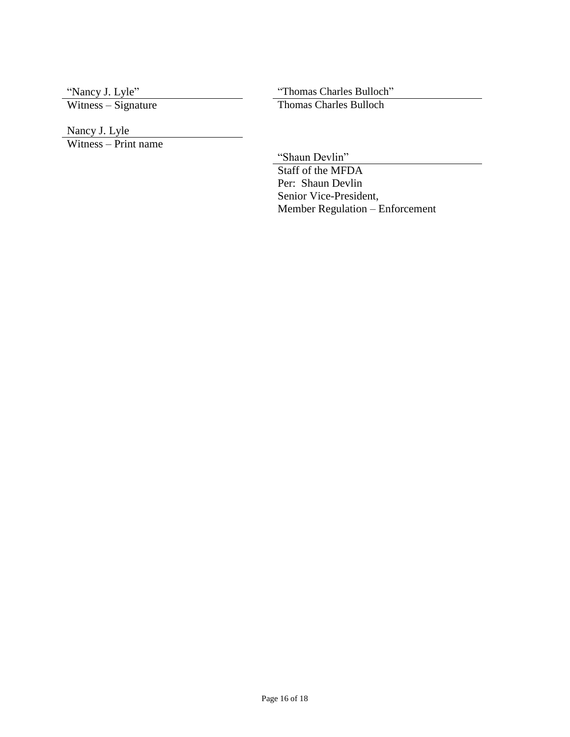"Nancy J. Lyle"<br>Witness – Signature

"Thomas Charles Bulloch"<br>Thomas Charles Bulloch

Nancy J. Lyle

Witness – Print name

"Shaun Devlin"

Staff of the MFDA Per: Shaun Devlin Senior Vice-President, Member Regulation – Enforcement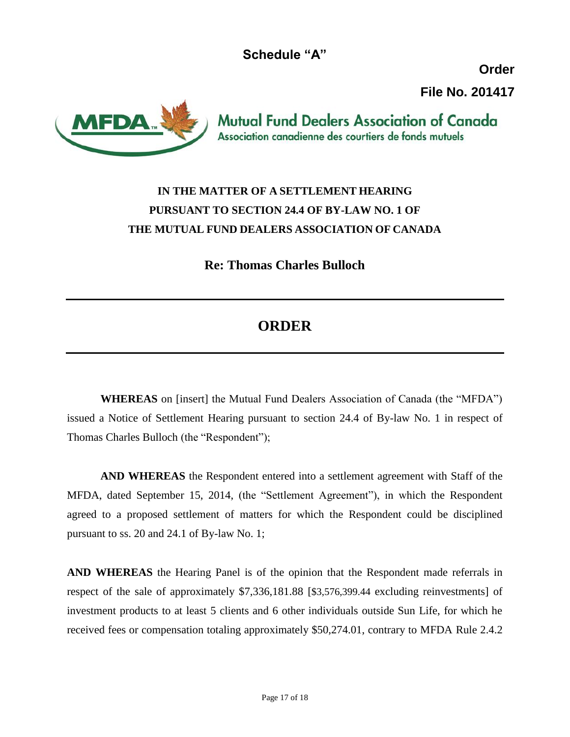**Schedule "A"**

**Order**

**File No. 201417**



**Mutual Fund Dealers Association of Canada** Association canadienne des courtiers de fonds mutuels

# **IN THE MATTER OF A SETTLEMENT HEARING PURSUANT TO SECTION 24.4 OF BY-LAW NO. 1 OF THE MUTUAL FUND DEALERS ASSOCIATION OF CANADA**

**Re: Thomas Charles Bulloch** 

# **ORDER**

**WHEREAS** on [insert] the Mutual Fund Dealers Association of Canada (the "MFDA") issued a Notice of Settlement Hearing pursuant to section 24.4 of By-law No. 1 in respect of Thomas Charles Bulloch (the "Respondent");

**AND WHEREAS** the Respondent entered into a settlement agreement with Staff of the MFDA, dated September 15, 2014, (the "Settlement Agreement"), in which the Respondent agreed to a proposed settlement of matters for which the Respondent could be disciplined pursuant to ss. 20 and 24.1 of By-law No. 1;

**AND WHEREAS** the Hearing Panel is of the opinion that the Respondent made referrals in respect of the sale of approximately \$7,336,181.88 [\$3,576,399.44 excluding reinvestments] of investment products to at least 5 clients and 6 other individuals outside Sun Life, for which he received fees or compensation totaling approximately \$50,274.01, contrary to MFDA Rule 2.4.2